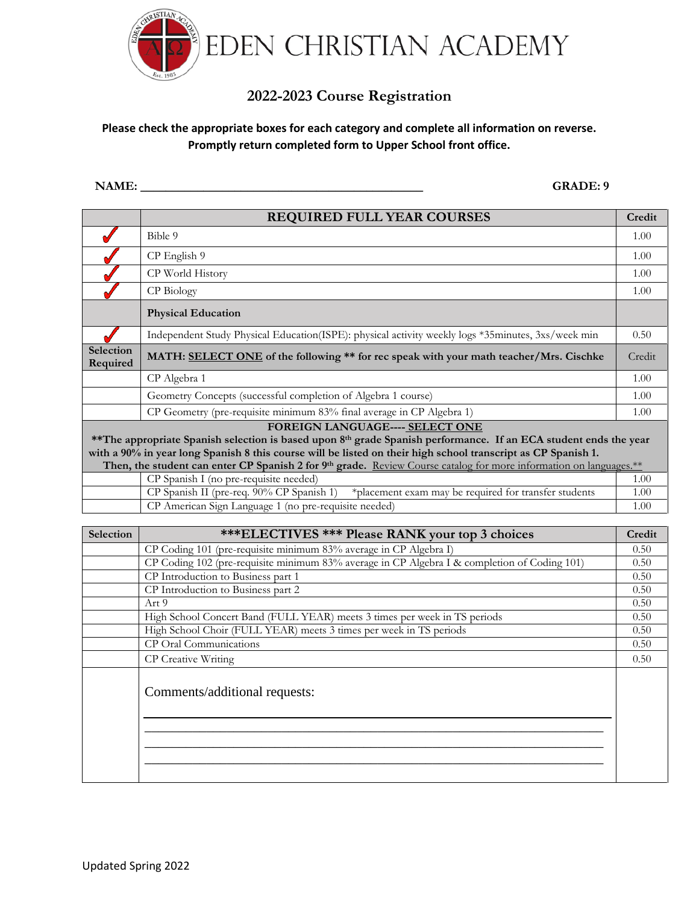

## **2022-2023 Course Registration**

## **Please check the appropriate boxes for each category and complete all information on reverse. Promptly return completed form to Upper School front office.**

**NAME: \_\_\_\_\_\_\_\_\_\_\_\_\_\_\_\_\_\_\_\_\_\_\_\_\_\_\_\_\_\_\_\_\_\_\_\_\_\_\_\_\_\_\_\_\_ GRADE: 9**

|                                                                                                                                                                                                                                                                                                                                                                                                        | <b>REQUIRED FULL YEAR COURSES</b>                                                                   | Credit |  |  |  |
|--------------------------------------------------------------------------------------------------------------------------------------------------------------------------------------------------------------------------------------------------------------------------------------------------------------------------------------------------------------------------------------------------------|-----------------------------------------------------------------------------------------------------|--------|--|--|--|
|                                                                                                                                                                                                                                                                                                                                                                                                        | Bible 9                                                                                             | 1.00   |  |  |  |
|                                                                                                                                                                                                                                                                                                                                                                                                        | CP English 9                                                                                        | 1.00   |  |  |  |
|                                                                                                                                                                                                                                                                                                                                                                                                        | CP World History                                                                                    | 1.00   |  |  |  |
|                                                                                                                                                                                                                                                                                                                                                                                                        | CP Biology                                                                                          | 1.00   |  |  |  |
|                                                                                                                                                                                                                                                                                                                                                                                                        | <b>Physical Education</b>                                                                           |        |  |  |  |
|                                                                                                                                                                                                                                                                                                                                                                                                        | Independent Study Physical Education (ISPE): physical activity weekly logs *35minutes, 3xs/week min | 0.50   |  |  |  |
| Selection<br>Required                                                                                                                                                                                                                                                                                                                                                                                  | MATH: SELECT ONE of the following ** for rec speak with your math teacher/Mrs. Cischke              |        |  |  |  |
|                                                                                                                                                                                                                                                                                                                                                                                                        | CP Algebra 1                                                                                        | 1.00   |  |  |  |
|                                                                                                                                                                                                                                                                                                                                                                                                        | Geometry Concepts (successful completion of Algebra 1 course)                                       | 1.00   |  |  |  |
|                                                                                                                                                                                                                                                                                                                                                                                                        | CP Geometry (pre-requisite minimum 83% final average in CP Algebra 1)                               | 1.00   |  |  |  |
| FOREIGN LANGUAGE---- SELECT ONE<br>**The appropriate Spanish selection is based upon 8 <sup>th</sup> grade Spanish performance. If an ECA student ends the year<br>with a 90% in year long Spanish 8 this course will be listed on their high school transcript as CP Spanish 1.<br>Then, the student can enter CP Spanish 2 for 9th grade. Review Course catalog for more information on languages.** |                                                                                                     |        |  |  |  |
|                                                                                                                                                                                                                                                                                                                                                                                                        | CP Spanish I (no pre-requisite needed)                                                              | 1.00   |  |  |  |
|                                                                                                                                                                                                                                                                                                                                                                                                        | CP Spanish II (pre-req. 90% CP Spanish 1)<br>*placement exam may be required for transfer students  | 1.00   |  |  |  |
|                                                                                                                                                                                                                                                                                                                                                                                                        | CP American Sign Language 1 (no pre-requisite needed)                                               | 1.00   |  |  |  |

| <b>Selection</b> | <b>***ELECTIVES *** Please RANK your top 3 choices</b>                                       | Credit |  |  |  |  |
|------------------|----------------------------------------------------------------------------------------------|--------|--|--|--|--|
|                  | CP Coding 101 (pre-requisite minimum 83% average in CP Algebra I)                            | 0.50   |  |  |  |  |
|                  | CP Coding 102 (pre-requisite minimum 83% average in CP Algebra I & completion of Coding 101) |        |  |  |  |  |
|                  | CP Introduction to Business part 1                                                           |        |  |  |  |  |
|                  | CP Introduction to Business part 2                                                           | 0.50   |  |  |  |  |
|                  | Art 9                                                                                        | 0.50   |  |  |  |  |
|                  | High School Concert Band (FULL YEAR) meets 3 times per week in TS periods                    | 0.50   |  |  |  |  |
|                  | High School Choir (FULL YEAR) meets 3 times per week in TS periods                           | 0.50   |  |  |  |  |
|                  | CP Oral Communications                                                                       | 0.50   |  |  |  |  |
|                  | CP Creative Writing                                                                          | 0.50   |  |  |  |  |
|                  | Comments/additional requests:                                                                |        |  |  |  |  |
|                  |                                                                                              |        |  |  |  |  |